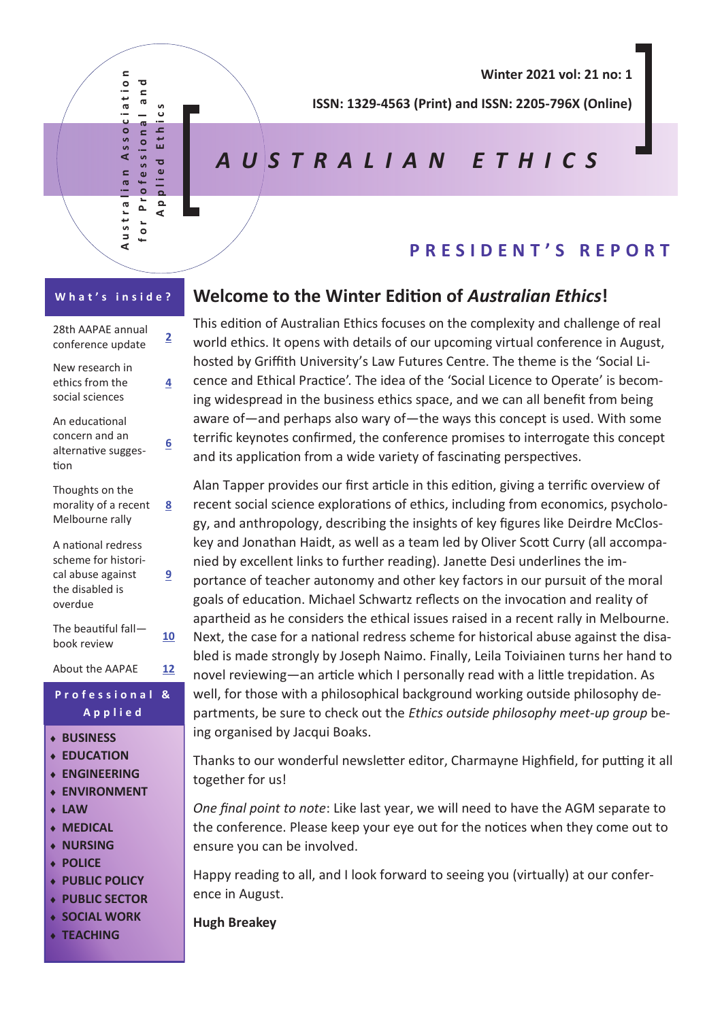Australian Association for Professional and<br>Contessional and  $\mathbf{r}$ Associatio  $\overline{\phantom{a}}$ a n o **A p p l i e d E t h i c s** ပ<br>ပ ofessional thi 面  $\overline{\mathbf{c}}$ lian  $\bullet$ ᇹ P<sub>r</sub> Austra  $\Omega$  $\epsilon$  $\overline{0}$ 

**Winter 2021 vol: 21 no: 1** 

**ISSN: 1329-4563 (Print) and ISSN: 2205-796X (Online)** 

# *A U S T R A L I A N E T H I C S*

# **P R E S I D E N T ' S R E P O R T**

## **W h a t ' s i n s i d e ?** 28th AAPAE annual conference update **<sup>2</sup>** New research in ethics from the social sciences **4** An educational concern and an alternative suggestion **6** Thoughts on the morality of a recent Melbourne rally **8** A national redress scheme for historical abuse against the disabled is overdue **9** The beautiful fall book review **10** About the AAPAE **12 P r o f e s s i o n a l & A p p l i e d BUSINESS EDUCATION ENGINEERING ENVIRONMENT LAW MEDICAL NURSING POLICE PUBLIC POLICY PUBLIC SECTOR SOCIAL WORK**

**TEACHING**

## **Welcome to the Winter Edition of** *Australian Ethics***!**

This edition of Australian Ethics focuses on the complexity and challenge of real world ethics. It opens with details of our upcoming virtual conference in August, hosted by Griffith University's Law Futures Centre. The theme is the 'Social Licence and Ethical Practice'. The idea of the 'Social Licence to Operate' is becoming widespread in the business ethics space, and we can all benefit from being aware of—and perhaps also wary of—the ways this concept is used. With some terrific keynotes confirmed, the conference promises to interrogate this concept and its application from a wide variety of fascinating perspectives.

Alan Tapper provides our first article in this edition, giving a terrific overview of recent social science explorations of ethics, including from economics, psychology, and anthropology, describing the insights of key figures like Deirdre McCloskey and Jonathan Haidt, as well as a team led by Oliver Scott Curry (all accompanied by excellent links to further reading). Janette Desi underlines the importance of teacher autonomy and other key factors in our pursuit of the moral goals of education. Michael Schwartz reflects on the invocation and reality of apartheid as he considers the ethical issues raised in a recent rally in Melbourne. Next, the case for a national redress scheme for historical abuse against the disabled is made strongly by Joseph Naimo. Finally, Leila Toiviainen turns her hand to novel reviewing—an article which I personally read with a little trepidation. As well, for those with a philosophical background working outside philosophy departments, be sure to check out the *Ethics outside philosophy meet-up group* being organised by Jacqui Boaks.

Thanks to our wonderful newsletter editor, Charmayne Highfield, for putting it all together for us!

*One final point to note*: Like last year, we will need to have the AGM separate to the conference. Please keep your eye out for the notices when they come out to ensure you can be involved.

Happy reading to all, and I look forward to seeing you (virtually) at our conference in August.

**Hugh Breakey**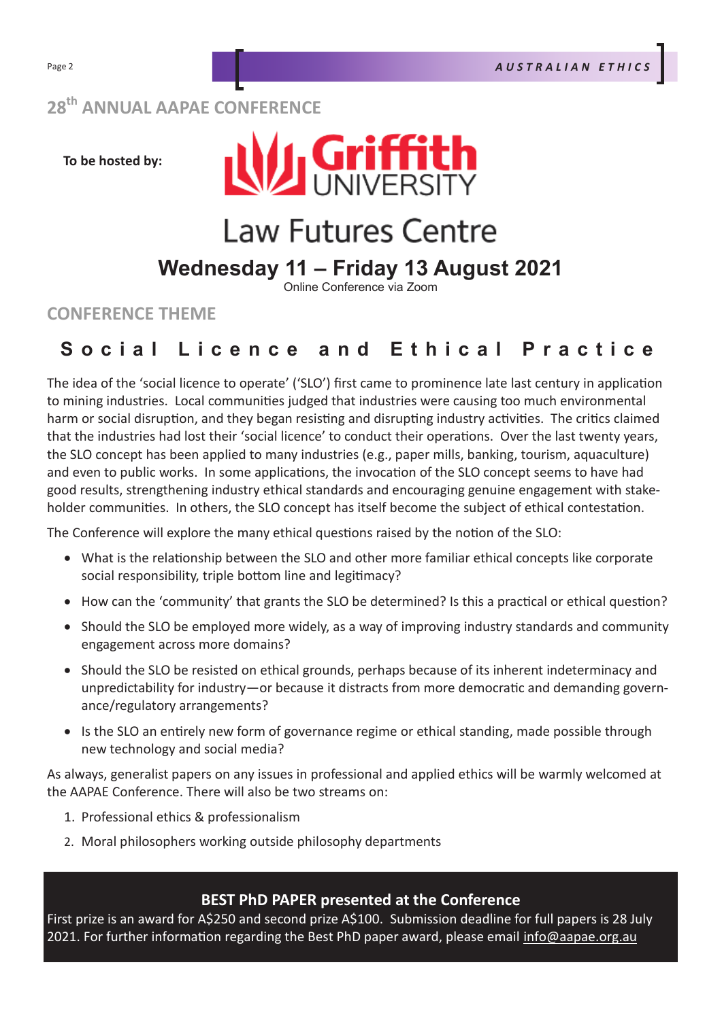# **28th ANNUAL AAPAE CONFERENCE**

**To be hosted by:**



# **Law Futures Centre**

# **Wednesday 11 – Friday 13 August 2021**

Online Conference via Zoom

**CONFERENCE THEME**

# Social Licence and Ethical Practice

The idea of the 'social licence to operate' ('SLO') first came to prominence late last century in application to mining industries. Local communities judged that industries were causing too much environmental harm or social disruption, and they began resisting and disrupting industry activities. The critics claimed that the industries had lost their 'social licence' to conduct their operations. Over the last twenty years, the SLO concept has been applied to many industries (e.g., paper mills, banking, tourism, aquaculture) and even to public works. In some applications, the invocation of the SLO concept seems to have had good results, strengthening industry ethical standards and encouraging genuine engagement with stakeholder communities. In others, the SLO concept has itself become the subject of ethical contestation.

The Conference will explore the many ethical questions raised by the notion of the SLO:

- What is the relationship between the SLO and other more familiar ethical concepts like corporate social responsibility, triple bottom line and legitimacy?
- How can the 'community' that grants the SLO be determined? Is this a practical or ethical question?
- Should the SLO be employed more widely, as a way of improving industry standards and community engagement across more domains?
- Should the SLO be resisted on ethical grounds, perhaps because of its inherent indeterminacy and unpredictability for industry—or because it distracts from more democratic and demanding governance/regulatory arrangements?
- Is the SLO an entirely new form of governance regime or ethical standing, made possible through new technology and social media?

As always, generalist papers on any issues in professional and applied ethics will be warmly welcomed at the AAPAE Conference. There will also be two streams on:

- 1. Professional ethics & professionalism
- 2. Moral philosophers working outside philosophy departments

#### **BEST PhD PAPER presented at the Conference**

First prize is an award for A\$250 and second prize A\$100. Submission deadline for full papers is 28 July 2021. For further information regarding the Best PhD paper award, please email info@aapae.org.au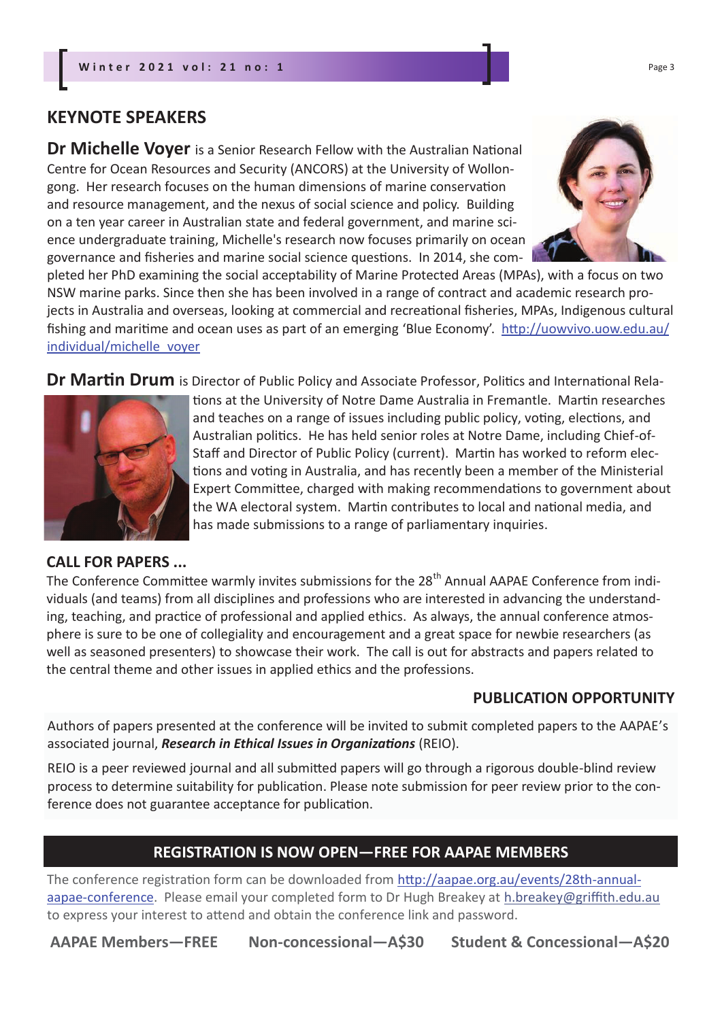## **KEYNOTE SPEAKERS**

**Dr Michelle Voyer** is a Senior Research Fellow with the Australian National Centre for Ocean Resources and Security (ANCORS) at the University of Wollongong. Her research focuses on the human dimensions of marine conservation and resource management, and the nexus of social science and policy. Building on a ten year career in Australian state and federal government, and marine science undergraduate training, Michelle's research now focuses primarily on ocean governance and fisheries and marine social science questions. In 2014, she com-



pleted her PhD examining the social acceptability of Marine Protected Areas (MPAs), with a focus on two NSW marine parks. Since then she has been involved in a range of contract and academic research projects in Australia and overseas, looking at commercial and recreational fisheries, MPAs, Indigenous cultural fishing and maritime and ocean uses as part of an emerging 'Blue Economy'. http://uowvivo.uow.edu.au/ individual/michelle\_voyer

**Dr Martin Drum** is Director of Public Policy and Associate Professor, Politics and International Rela-



# **CALL FOR PAPERS ...**

The Conference Committee warmly invites submissions for the 28<sup>th</sup> Annual AAPAE Conference from individuals (and teams) from all disciplines and professions who are interested in advancing the understanding, teaching, and practice of professional and applied ethics. As always, the annual conference atmosphere is sure to be one of collegiality and encouragement and a great space for newbie researchers (as well as seasoned presenters) to showcase their work. The call is out for abstracts and papers related to the central theme and other issues in applied ethics and the professions.

## **PUBLICATION OPPORTUNITY**

Authors of papers presented at the conference will be invited to submit completed papers to the AAPAE's associated journal, *Research in Ethical Issues in Organizations* (REIO).

REIO is a peer reviewed journal and all submitted papers will go through a rigorous double-blind review process to determine suitability for publication. Please note submission for peer review prior to the conference does not guarantee acceptance for publication.

## **REGISTRATION IS NOW OPEN—FREE FOR AAPAE MEMBERS**

The conference registration form can be downloaded from http://aapae.org.au/events/28th-annualaapae-conference. Please email your completed form to Dr Hugh Breakey at h.breakey@griffith.edu.au to express your interest to attend and obtain the conference link and password.

**AAPAE Members—FREE Non-concessional—A\$30 Student & Concessional—A\$20**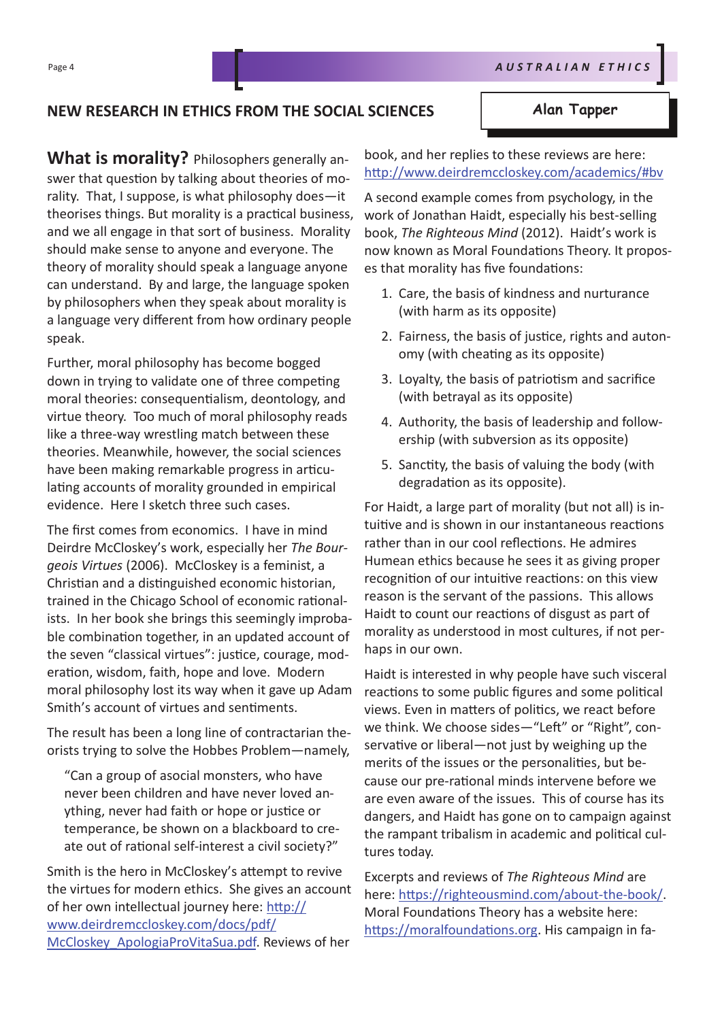## **NEW RESEARCH IN ETHICS FROM THE SOCIAL SCIENCES**

**Alan Tapper**

**What is morality?** Philosophers generally answer that question by talking about theories of morality. That, I suppose, is what philosophy does—it theorises things. But morality is a practical business, and we all engage in that sort of business. Morality should make sense to anyone and everyone. The theory of morality should speak a language anyone can understand. By and large, the language spoken by philosophers when they speak about morality is a language very different from how ordinary people speak.

Further, moral philosophy has become bogged down in trying to validate one of three competing moral theories: consequentialism, deontology, and virtue theory. Too much of moral philosophy reads like a three-way wrestling match between these theories. Meanwhile, however, the social sciences have been making remarkable progress in articulating accounts of morality grounded in empirical evidence. Here I sketch three such cases.

The first comes from economics. I have in mind Deirdre McCloskey's work, especially her *The Bourgeois Virtues* (2006). McCloskey is a feminist, a Christian and a distinguished economic historian, trained in the Chicago School of economic rationalists. In her book she brings this seemingly improbable combination together, in an updated account of the seven "classical virtues": justice, courage, moderation, wisdom, faith, hope and love. Modern moral philosophy lost its way when it gave up Adam Smith's account of virtues and sentiments.

The result has been a long line of contractarian theorists trying to solve the Hobbes Problem—namely,

"Can a group of asocial monsters, who have never been children and have never loved anything, never had faith or hope or justice or temperance, be shown on a blackboard to create out of rational self-interest a civil society?"

Smith is the hero in McCloskey's attempt to revive the virtues for modern ethics. She gives an account of her own intellectual journey here: http:// www.deirdremccloskey.com/docs/pdf/ McCloskey\_ApologiaProVitaSua.pdf. Reviews of her

book, and her replies to these reviews are here: http://www.deirdremccloskey.com/academics/#bv

A second example comes from psychology, in the work of Jonathan Haidt, especially his best-selling book, *The Righteous Mind* (2012). Haidt's work is now known as Moral Foundations Theory. It proposes that morality has five foundations:

- 1. Care, the basis of kindness and nurturance (with harm as its opposite)
- 2. Fairness, the basis of justice, rights and autonomy (with cheating as its opposite)
- 3. Loyalty, the basis of patriotism and sacrifice (with betrayal as its opposite)
- 4. Authority, the basis of leadership and followership (with subversion as its opposite)
- 5. Sanctity, the basis of valuing the body (with degradation as its opposite).

For Haidt, a large part of morality (but not all) is intuitive and is shown in our instantaneous reactions rather than in our cool reflections. He admires Humean ethics because he sees it as giving proper recognition of our intuitive reactions: on this view reason is the servant of the passions. This allows Haidt to count our reactions of disgust as part of morality as understood in most cultures, if not perhaps in our own.

Haidt is interested in why people have such visceral reactions to some public figures and some political views. Even in matters of politics, we react before we think. We choose sides—"Left" or "Right", conservative or liberal—not just by weighing up the merits of the issues or the personalities, but because our pre-rational minds intervene before we are even aware of the issues. This of course has its dangers, and Haidt has gone on to campaign against the rampant tribalism in academic and political cultures today.

Excerpts and reviews of *The Righteous Mind* are here: https://righteousmind.com/about-the-book/. Moral Foundations Theory has a website here: https://moralfoundations.org. His campaign in fa-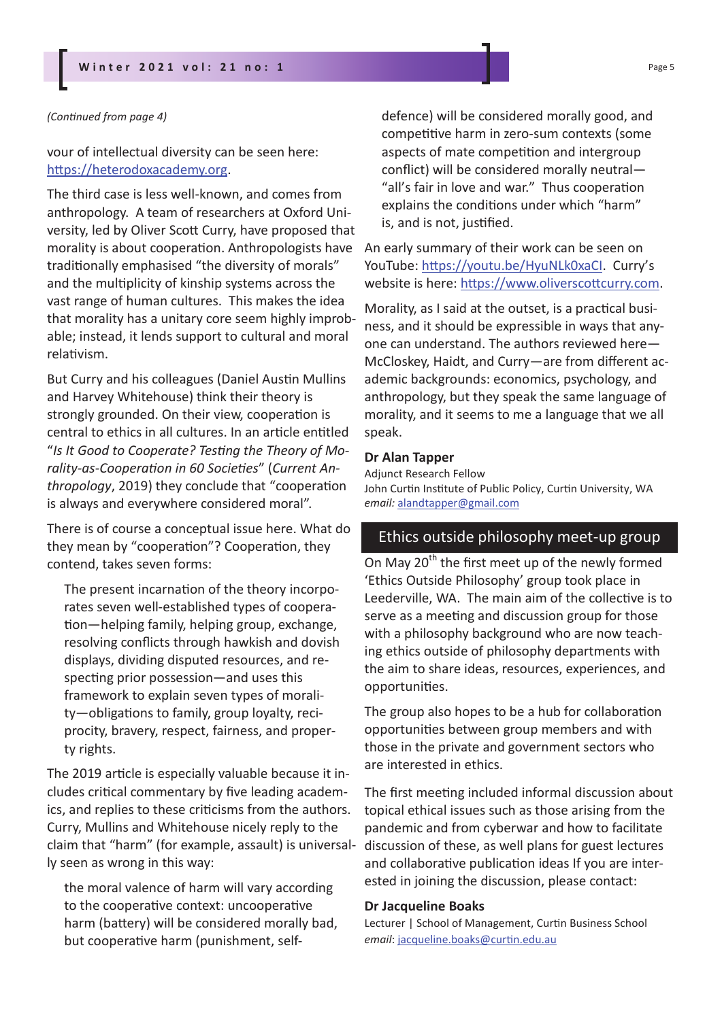#### *(Continued from page 4)*

vour of intellectual diversity can be seen here: https://heterodoxacademy.org.

The third case is less well-known, and comes from anthropology. A team of researchers at Oxford University, led by Oliver Scott Curry, have proposed that morality is about cooperation. Anthropologists have traditionally emphasised "the diversity of morals" and the multiplicity of kinship systems across the vast range of human cultures. This makes the idea that morality has a unitary core seem highly improbable; instead, it lends support to cultural and moral relativism.

But Curry and his colleagues (Daniel Austin Mullins and Harvey Whitehouse) think their theory is strongly grounded. On their view, cooperation is central to ethics in all cultures. In an article entitled "*Is It Good to Cooperate? Testing the Theory of Morality-as-Cooperation in 60 Societies*" (*Current Anthropology*, 2019) they conclude that "cooperation is always and everywhere considered moral".

There is of course a conceptual issue here. What do they mean by "cooperation"? Cooperation, they contend, takes seven forms:

The present incarnation of the theory incorporates seven well-established types of cooperation—helping family, helping group, exchange, resolving conflicts through hawkish and dovish displays, dividing disputed resources, and respecting prior possession—and uses this framework to explain seven types of morality—obligations to family, group loyalty, reciprocity, bravery, respect, fairness, and property rights.

The 2019 article is especially valuable because it includes critical commentary by five leading academics, and replies to these criticisms from the authors. Curry, Mullins and Whitehouse nicely reply to the claim that "harm" (for example, assault) is universally seen as wrong in this way:

the moral valence of harm will vary according to the cooperative context: uncooperative harm (battery) will be considered morally bad, but cooperative harm (punishment, selfdefence) will be considered morally good, and competitive harm in zero-sum contexts (some aspects of mate competition and intergroup conflict) will be considered morally neutral— "all's fair in love and war." Thus cooperation explains the conditions under which "harm" is, and is not, justified.

An early summary of their work can be seen on YouTube: https://youtu.be/HyuNLk0xaCI. Curry's website is here: https://www.oliverscottcurry.com.

Morality, as I said at the outset, is a practical business, and it should be expressible in ways that anyone can understand. The authors reviewed here— McCloskey, Haidt, and Curry—are from different academic backgrounds: economics, psychology, and anthropology, but they speak the same language of morality, and it seems to me a language that we all speak.

#### **Dr Alan Tapper**

Adjunct Research Fellow John Curtin Institute of Public Policy, Curtin University, WA *email:* alandtapper@gmail.com

## Ethics outside philosophy meet-up group

On May 20<sup>th</sup> the first meet up of the newly formed 'Ethics Outside Philosophy' group took place in Leederville, WA. The main aim of the collective is to serve as a meeting and discussion group for those with a philosophy background who are now teaching ethics outside of philosophy departments with the aim to share ideas, resources, experiences, and opportunities.

The group also hopes to be a hub for collaboration opportunities between group members and with those in the private and government sectors who are interested in ethics.

The first meeting included informal discussion about topical ethical issues such as those arising from the pandemic and from cyberwar and how to facilitate discussion of these, as well plans for guest lectures and collaborative publication ideas If you are interested in joining the discussion, please contact:

#### **Dr Jacqueline Boaks**

Lecturer | School of Management, Curtin Business School *email*: jacqueline.boaks@curtin.edu.au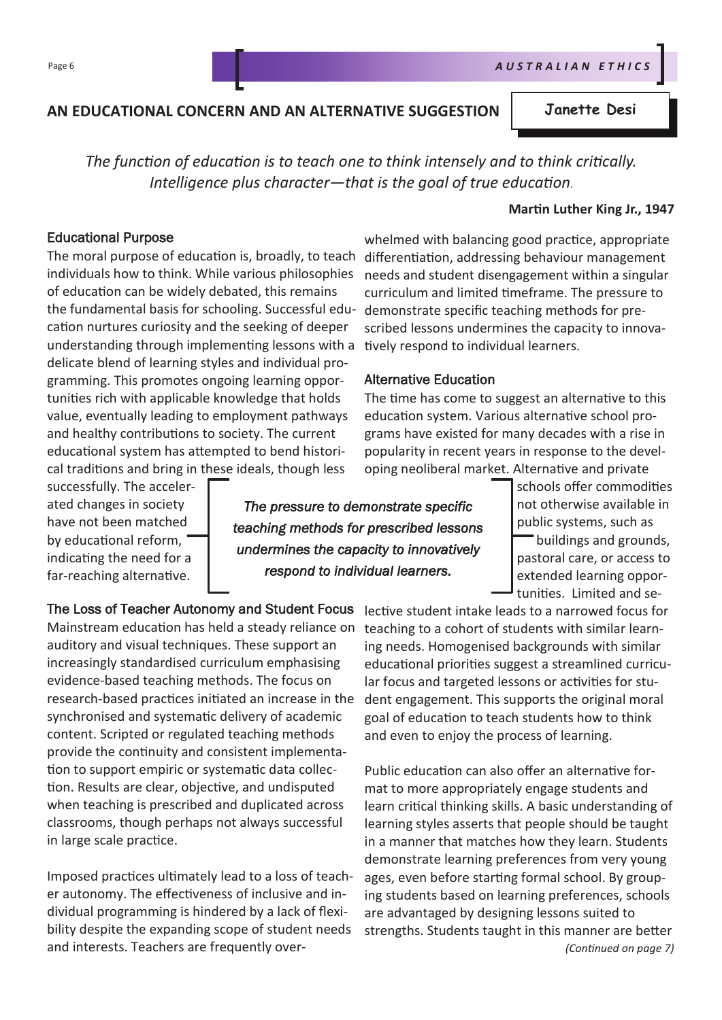## **AN EDUCATIONAL CONCERN AND AN ALTERNATIVE SUGGESTION**

*The function of education is to teach one to think intensely and to think critically. Intelligence plus character—that is the goal of true education.* 

#### **Martin Luther King Jr., 1947**

#### Educational Purpose

The moral purpose of education is, broadly, to teach individuals how to think. While various philosophies of education can be widely debated, this remains the fundamental basis for schooling. Successful education nurtures curiosity and the seeking of deeper understanding through implementing lessons with a delicate blend of learning styles and individual programming. This promotes ongoing learning opportunities rich with applicable knowledge that holds value, eventually leading to employment pathways and healthy contributions to society. The current educational system has attempted to bend historical traditions and bring in these ideals, though less

whelmed with balancing good practice, appropriate differentiation, addressing behaviour management needs and student disengagement within a singular curriculum and limited timeframe. The pressure to demonstrate specific teaching methods for prescribed lessons undermines the capacity to innovatively respond to individual learners.

#### Alternative Education

The time has come to suggest an alternative to this education system. Various alternative school programs have existed for many decades with a rise in popularity in recent years in response to the developing neoliberal market. Alternative and private

successfully. The accelerated changes in society have not been matched by educational reform, indicating the need for a far-reaching alternative.

*The pressure to demonstrate specific teaching methods for prescribed lessons undermines the capacity to innovatively respond to individual learners.* 

schools offer commodities not otherwise available in public systems, such as buildings and grounds, pastoral care, or access to extended learning opportunities. Limited and se-

The Loss of Teacher Autonomy and Student Focus Mainstream education has held a steady reliance on auditory and visual techniques. These support an increasingly standardised curriculum emphasising evidence-based teaching methods. The focus on research-based practices initiated an increase in the synchronised and systematic delivery of academic content. Scripted or regulated teaching methods provide the continuity and consistent implementation to support empiric or systematic data collection. Results are clear, objective, and undisputed when teaching is prescribed and duplicated across classrooms, though perhaps not always successful in large scale practice.

Imposed practices ultimately lead to a loss of teacher autonomy. The effectiveness of inclusive and individual programming is hindered by a lack of flexibility despite the expanding scope of student needs and interests. Teachers are frequently over-

lective student intake leads to a narrowed focus for teaching to a cohort of students with similar learning needs. Homogenised backgrounds with similar educational priorities suggest a streamlined curricular focus and targeted lessons or activities for student engagement. This supports the original moral goal of education to teach students how to think and even to enjoy the process of learning.

Public education can also offer an alternative format to more appropriately engage students and learn critical thinking skills. A basic understanding of learning styles asserts that people should be taught in a manner that matches how they learn. Students demonstrate learning preferences from very young ages, even before starting formal school. By grouping students based on learning preferences, schools are advantaged by designing lessons suited to strengths. Students taught in this manner are better *(Continued on page 7)*

**Janette Desi**

Page 6 **A U S T R A L I A N E T H I C S** R A U S T R A L I A N E T H I C S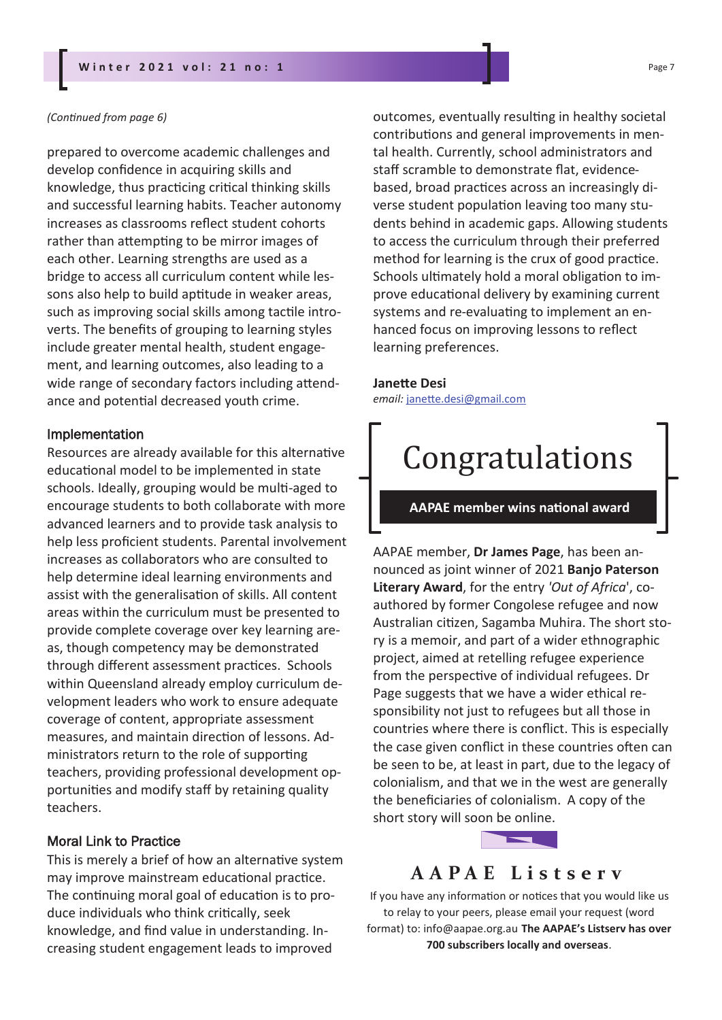#### **W i n t e r 2 0 2 1 v o l : 2 1 n o : 1** Page 7

#### *(Continued from page 6)*

prepared to overcome academic challenges and develop confidence in acquiring skills and knowledge, thus practicing critical thinking skills and successful learning habits. Teacher autonomy increases as classrooms reflect student cohorts rather than attempting to be mirror images of each other. Learning strengths are used as a bridge to access all curriculum content while lessons also help to build aptitude in weaker areas, such as improving social skills among tactile introverts. The benefits of grouping to learning styles include greater mental health, student engagement, and learning outcomes, also leading to a wide range of secondary factors including attendance and potential decreased youth crime.

#### Implementation

Resources are already available for this alternative educational model to be implemented in state schools. Ideally, grouping would be multi-aged to encourage students to both collaborate with more advanced learners and to provide task analysis to help less proficient students. Parental involvement increases as collaborators who are consulted to help determine ideal learning environments and assist with the generalisation of skills. All content areas within the curriculum must be presented to provide complete coverage over key learning areas, though competency may be demonstrated through different assessment practices. Schools within Queensland already employ curriculum development leaders who work to ensure adequate coverage of content, appropriate assessment measures, and maintain direction of lessons. Administrators return to the role of supporting teachers, providing professional development opportunities and modify staff by retaining quality teachers.

#### Moral Link to Practice

This is merely a brief of how an alternative system may improve mainstream educational practice. The continuing moral goal of education is to produce individuals who think critically, seek knowledge, and find value in understanding. Increasing student engagement leads to improved

outcomes, eventually resulting in healthy societal contributions and general improvements in mental health. Currently, school administrators and staff scramble to demonstrate flat, evidencebased, broad practices across an increasingly diverse student population leaving too many students behind in academic gaps. Allowing students to access the curriculum through their preferred method for learning is the crux of good practice. Schools ultimately hold a moral obligation to improve educational delivery by examining current systems and re-evaluating to implement an enhanced focus on improving lessons to reflect learning preferences.

#### **Janette Desi**

*email:* janette.desi@gmail.com

# Congratulations

#### **AAPAE member wins national award**

AAPAE member, **Dr James Page**, has been announced as joint winner of 2021 **Banjo Paterson Literary Award**, for the entry *'Out of Africa*', coauthored by former Congolese refugee and now Australian citizen, Sagamba Muhira. The short story is a memoir, and part of a wider ethnographic project, aimed at retelling refugee experience from the perspective of individual refugees. Dr Page suggests that we have a wider ethical responsibility not just to refugees but all those in countries where there is conflict. This is especially the case given conflict in these countries often can be seen to be, at least in part, due to the legacy of colonialism, and that we in the west are generally the beneficiaries of colonialism. A copy of the short story will soon be online.

## **A A P A E L i s t s e r v**

If you have any information or notices that you would like us to relay to your peers, please email your request (word format) to: info@aapae.org.au **The AAPAE's Listserv has over 700 subscribers locally and overseas**.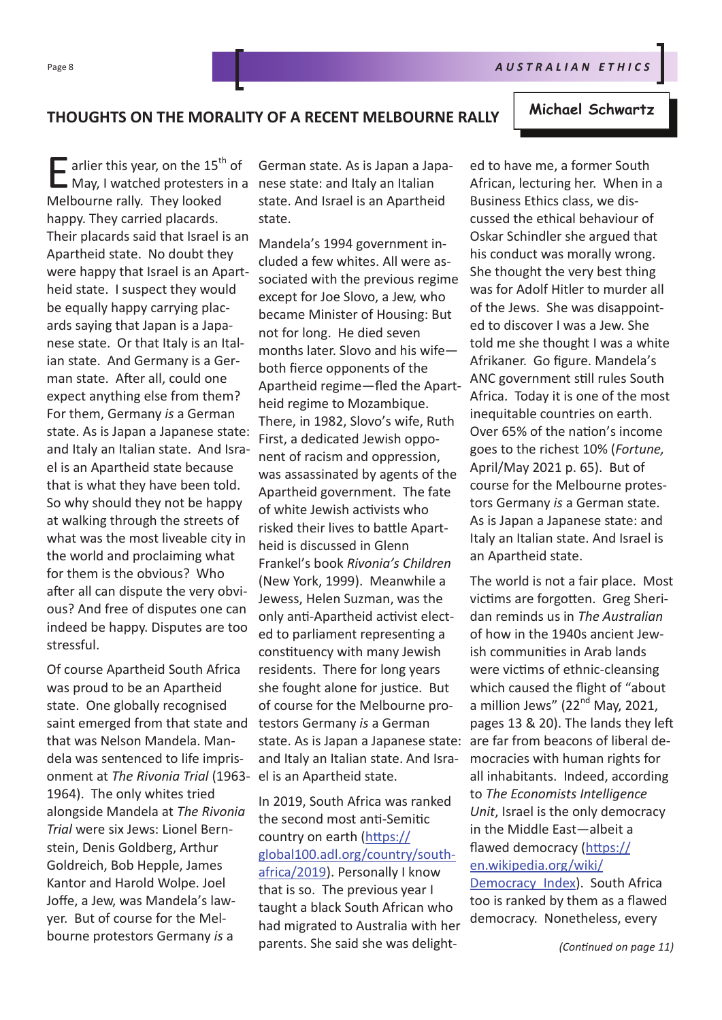## **THOUGHTS ON THE MORALITY OF A RECENT MELBOURNE RALLY**

E arlier this year, on the 15<sup>th</sup> of<br>May, I watched protesters in a  $\overline{\phantom{a}}$  arlier this year, on the 15<sup>th</sup> of Melbourne rally. They looked happy. They carried placards. Their placards said that Israel is an Apartheid state. No doubt they were happy that Israel is an Apartheid state. I suspect they would be equally happy carrying placards saying that Japan is a Japanese state. Or that Italy is an Italian state. And Germany is a German state. After all, could one expect anything else from them? For them, Germany *is* a German state. As is Japan a Japanese state: and Italy an Italian state. And Israel is an Apartheid state because that is what they have been told. So why should they not be happy at walking through the streets of what was the most liveable city in the world and proclaiming what for them is the obvious? Who after all can dispute the very obvious? And free of disputes one can indeed be happy. Disputes are too stressful.

Of course Apartheid South Africa was proud to be an Apartheid state. One globally recognised saint emerged from that state and that was Nelson Mandela. Mandela was sentenced to life imprisonment at *The Rivonia Trial* (1963- 1964). The only whites tried alongside Mandela at *The Rivonia Trial* were six Jews: Lionel Bernstein, Denis Goldberg, Arthur Goldreich, Bob Hepple, James Kantor and Harold Wolpe. Joel Joffe, a Jew, was Mandela's lawyer. But of course for the Melbourne protestors Germany *is* a

German state. As is Japan a Japanese state: and Italy an Italian state. And Israel is an Apartheid state.

Mandela's 1994 government included a few whites. All were associated with the previous regime except for Joe Slovo, a Jew, who became Minister of Housing: But not for long. He died seven months later. Slovo and his wife both fierce opponents of the Apartheid regime—fled the Apartheid regime to Mozambique. There, in 1982, Slovo's wife, Ruth First, a dedicated Jewish opponent of racism and oppression, was assassinated by agents of the Apartheid government. The fate of white Jewish activists who risked their lives to battle Apartheid is discussed in Glenn Frankel's book *Rivonia's Children* (New York, 1999). Meanwhile a Jewess, Helen Suzman, was the only anti-Apartheid activist elected to parliament representing a constituency with many Jewish residents. There for long years she fought alone for justice. But of course for the Melbourne protestors Germany *is* a German state. As is Japan a Japanese state: and Italy an Italian state. And Israel is an Apartheid state.

In 2019, South Africa was ranked the second most anti-Semitic country on earth (https:// global100.adl.org/country/southafrica/2019). Personally I know that is so. The previous year I taught a black South African who had migrated to Australia with her parents. She said she was delight-

ed to have me, a former South African, lecturing her. When in a Business Ethics class, we discussed the ethical behaviour of Oskar Schindler she argued that his conduct was morally wrong. She thought the very best thing was for Adolf Hitler to murder all of the Jews. She was disappointed to discover I was a Jew. She told me she thought I was a white Afrikaner. Go figure. Mandela's ANC government still rules South Africa. Today it is one of the most inequitable countries on earth. Over 65% of the nation's income goes to the richest 10% (*Fortune,*  April/May 2021 p. 65). But of course for the Melbourne protestors Germany *is* a German state. As is Japan a Japanese state: and Italy an Italian state. And Israel is an Apartheid state.

The world is not a fair place. Most victims are forgotten. Greg Sheridan reminds us in *The Australian*  of how in the 1940s ancient Jewish communities in Arab lands were victims of ethnic-cleansing which caused the flight of "about a million Jews"  $(22<sup>nd</sup>$  May, 2021, pages 13 & 20). The lands they left are far from beacons of liberal democracies with human rights for all inhabitants. Indeed, according to *The Economists Intelligence Unit*, Israel is the only democracy in the Middle East—albeit a flawed democracy (https:// en.wikipedia.org/wiki/ Democracy\_Index). South Africa too is ranked by them as a flawed democracy. Nonetheless, every

#### **Michael Schwartz**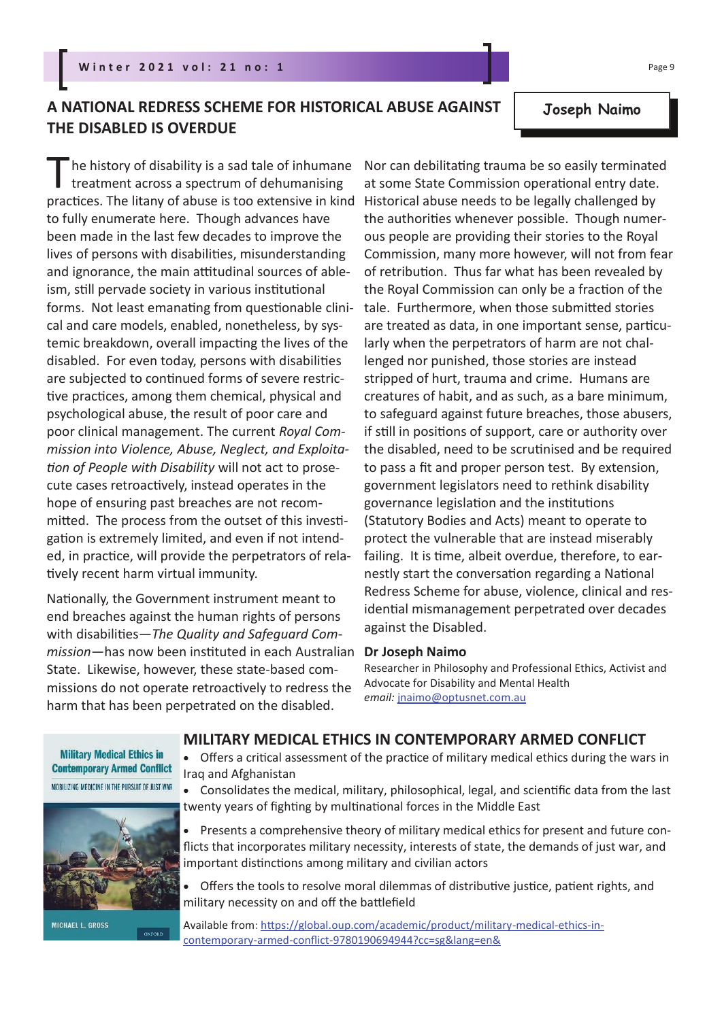## **A NATIONAL REDRESS SCHEME FOR HISTORICAL ABUSE AGAINST THE DISABLED IS OVERDUE**

The history of disability is a sad tale of inhumane<br>treatment across a spectrum of dehumanising<br>practices. The litany of abuse is too extensive in kind he history of disability is a sad tale of inhumane treatment across a spectrum of dehumanising to fully enumerate here. Though advances have been made in the last few decades to improve the lives of persons with disabilities, misunderstanding and ignorance, the main attitudinal sources of ableism, still pervade society in various institutional forms. Not least emanating from questionable clinical and care models, enabled, nonetheless, by systemic breakdown, overall impacting the lives of the disabled. For even today, persons with disabilities are subjected to continued forms of severe restrictive practices, among them chemical, physical and psychological abuse, the result of poor care and poor clinical management. The current *Royal Commission into Violence, Abuse, Neglect, and Exploitation of People with Disability* will not act to prosecute cases retroactively, instead operates in the hope of ensuring past breaches are not recommitted. The process from the outset of this investigation is extremely limited, and even if not intended, in practice, will provide the perpetrators of relatively recent harm virtual immunity.

Nationally, the Government instrument meant to end breaches against the human rights of persons with disabilities—*The Quality and Safeguard Commission*—has now been instituted in each Australian State. Likewise, however, these state-based commissions do not operate retroactively to redress the harm that has been perpetrated on the disabled.

Nor can debilitating trauma be so easily terminated at some State Commission operational entry date. Historical abuse needs to be legally challenged by the authorities whenever possible. Though numerous people are providing their stories to the Royal Commission, many more however, will not from fear of retribution. Thus far what has been revealed by the Royal Commission can only be a fraction of the tale. Furthermore, when those submitted stories are treated as data, in one important sense, particularly when the perpetrators of harm are not challenged nor punished, those stories are instead stripped of hurt, trauma and crime. Humans are creatures of habit, and as such, as a bare minimum, to safeguard against future breaches, those abusers, if still in positions of support, care or authority over the disabled, need to be scrutinised and be required to pass a fit and proper person test. By extension, government legislators need to rethink disability governance legislation and the institutions (Statutory Bodies and Acts) meant to operate to protect the vulnerable that are instead miserably failing. It is time, albeit overdue, therefore, to earnestly start the conversation regarding a National Redress Scheme for abuse, violence, clinical and residential mismanagement perpetrated over decades against the Disabled.

#### **Dr Joseph Naimo**

Researcher in Philosophy and Professional Ethics, Activist and Advocate for Disability and Mental Health *email:* jnaimo@optusnet.com.au

# **MILITARY MEDICAL ETHICS IN CONTEMPORARY ARMED CONFLICT**

• Offers a critical assessment of the practice of military medical ethics during the wars in Iraq and Afghanistan

• Consolidates the medical, military, philosophical, legal, and scientific data from the last twenty years of fighting by multinational forces in the Middle East

• Presents a comprehensive theory of military medical ethics for present and future conflicts that incorporates military necessity, interests of state, the demands of just war, and important distinctions among military and civilian actors

• Offers the tools to resolve moral dilemmas of distributive justice, patient rights, and military necessity on and off the battlefield

Available from: https://global.oup.com/academic/product/military-medical-ethics-incontemporary-armed-conflict-9780190694944?cc=sg&lang=en&

**Military Medical Ethics in Contemporary Armed Conflict** MOBILIZING MEDICINE IN THE PURSUIT OF JUST WAR



**MICHAEL L. GROSS** 

### **Joseph Naimo**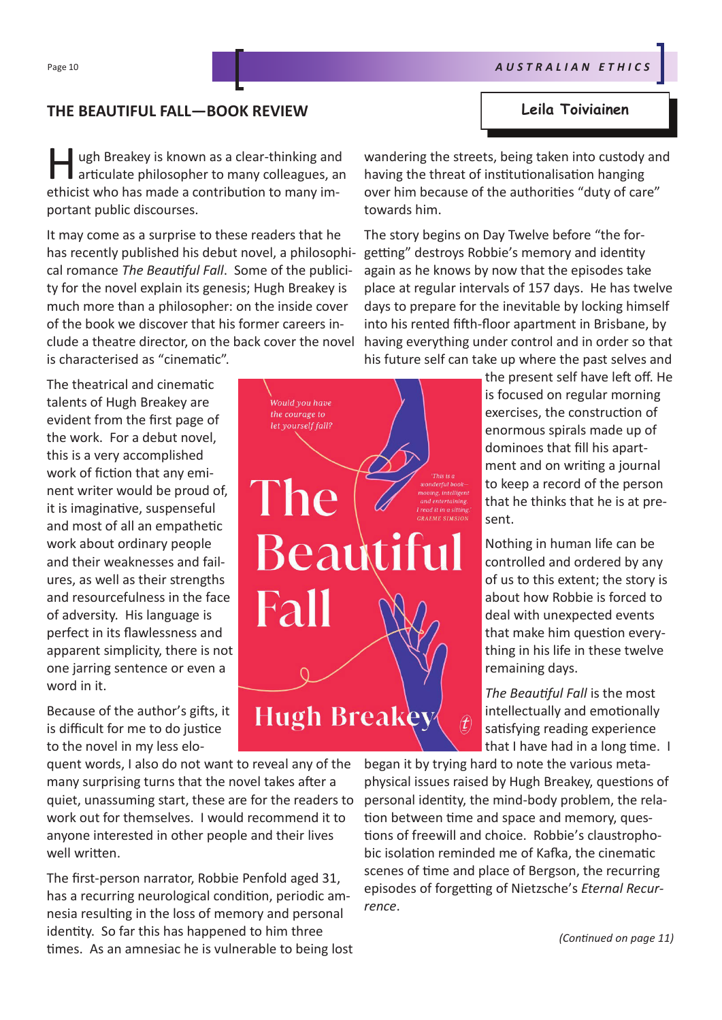## **THE BEAUTIFUL FALL—BOOK REVIEW Leila Toiviainen**

I ugh Breakey is known as a clear-thinking and articulate philosopher to many colleagues, a ethicist who has made a contribution to many imugh Breakey is known as a clear-thinking and articulate philosopher to many colleagues, an portant public discourses.

It may come as a surprise to these readers that he has recently published his debut novel, a philosophical romance *The Beautiful Fall*. Some of the publicity for the novel explain its genesis; Hugh Breakey is much more than a philosopher: on the inside cover of the book we discover that his former careers include a theatre director, on the back cover the novel is characterised as "cinematic".

The theatrical and cinematic talents of Hugh Breakey are evident from the first page of the work. For a debut novel, this is a very accomplished work of fiction that any eminent writer would be proud of, it is imaginative, suspenseful and most of all an empathetic work about ordinary people and their weaknesses and failures, as well as their strengths and resourcefulness in the face of adversity. His language is perfect in its flawlessness and apparent simplicity, there is not one jarring sentence or even a word in it.

Because of the author's gifts, it is difficult for me to do justice to the novel in my less elo-

quent words, I also do not want to reveal any of the many surprising turns that the novel takes after a quiet, unassuming start, these are for the readers to work out for themselves. I would recommend it to anyone interested in other people and their lives well written.

The first-person narrator, Robbie Penfold aged 31, has a recurring neurological condition, periodic amnesia resulting in the loss of memory and personal identity. So far this has happened to him three times. As an amnesiac he is vulnerable to being lost wandering the streets, being taken into custody and having the threat of institutionalisation hanging over him because of the authorities "duty of care" towards him.

The story begins on Day Twelve before "the forgetting" destroys Robbie's memory and identity again as he knows by now that the episodes take place at regular intervals of 157 days. He has twelve days to prepare for the inevitable by locking himself into his rented fifth-floor apartment in Brisbane, by having everything under control and in order so that his future self can take up where the past selves and

> the present self have left off. He is focused on regular morning exercises, the construction of enormous spirals made up of dominoes that fill his apartment and on writing a journal to keep a record of the person that he thinks that he is at present.

Nothing in human life can be controlled and ordered by any of us to this extent; the story is about how Robbie is forced to deal with unexpected events that make him question everything in his life in these twelve remaining days.

*The Beautiful Fall* is the most intellectually and emotionally satisfying reading experience that I have had in a long time. I

began it by trying hard to note the various metaphysical issues raised by Hugh Breakey, questions of personal identity, the mind-body problem, the relation between time and space and memory, questions of freewill and choice. Robbie's claustrophobic isolation reminded me of Kafka, the cinematic scenes of time and place of Bergson, the recurring episodes of forgetting of Nietzsche's *Eternal Recurrence*.

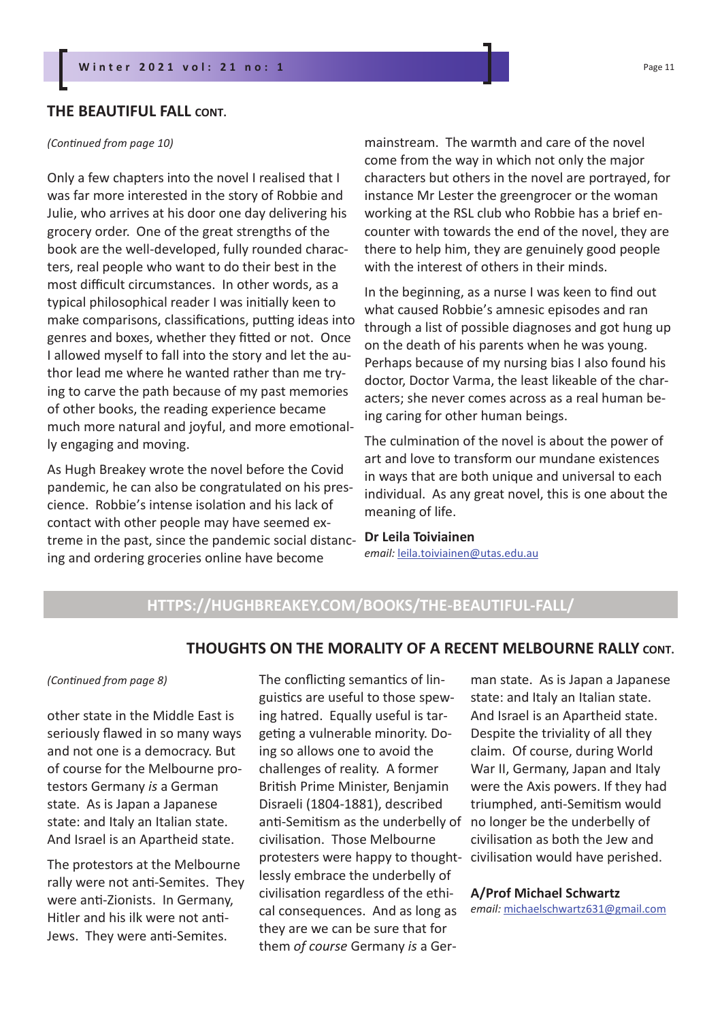#### **THE BEAUTIFUL FALL CONT.**

#### *(Continued from page 10)*

Only a few chapters into the novel I realised that I was far more interested in the story of Robbie and Julie, who arrives at his door one day delivering his grocery order. One of the great strengths of the book are the well-developed, fully rounded characters, real people who want to do their best in the most difficult circumstances. In other words, as a typical philosophical reader I was initially keen to make comparisons, classifications, putting ideas into genres and boxes, whether they fitted or not. Once I allowed myself to fall into the story and let the author lead me where he wanted rather than me trying to carve the path because of my past memories of other books, the reading experience became much more natural and joyful, and more emotionally engaging and moving.

As Hugh Breakey wrote the novel before the Covid pandemic, he can also be congratulated on his prescience. Robbie's intense isolation and his lack of contact with other people may have seemed extreme in the past, since the pandemic social distancing and ordering groceries online have become

mainstream. The warmth and care of the novel come from the way in which not only the major characters but others in the novel are portrayed, for instance Mr Lester the greengrocer or the woman working at the RSL club who Robbie has a brief encounter with towards the end of the novel, they are there to help him, they are genuinely good people with the interest of others in their minds.

In the beginning, as a nurse I was keen to find out what caused Robbie's amnesic episodes and ran through a list of possible diagnoses and got hung up on the death of his parents when he was young. Perhaps because of my nursing bias I also found his doctor, Doctor Varma, the least likeable of the characters; she never comes across as a real human being caring for other human beings.

The culmination of the novel is about the power of art and love to transform our mundane existences in ways that are both unique and universal to each individual. As any great novel, this is one about the meaning of life.

**Dr Leila Toiviainen** *email:* leila.toiviainen@utas.edu.au

## **HTTPS://HUGHBREAKEY.COM/BOOKS/THE-BEAUTIFUL-FALL/**

#### **THOUGHTS ON THE MORALITY OF A RECENT MELBOURNE RALLY CONT.**

#### *(Continued from page 8)*

other state in the Middle East is seriously flawed in so many ways and not one is a democracy. But of course for the Melbourne protestors Germany *is* a German state. As is Japan a Japanese state: and Italy an Italian state. And Israel is an Apartheid state.

The protestors at the Melbourne rally were not anti-Semites. They were anti-Zionists. In Germany, Hitler and his ilk were not anti-Jews. They were anti-Semites.

The conflicting semantics of linguistics are useful to those spewing hatred. Equally useful is targeting a vulnerable minority. Doing so allows one to avoid the challenges of reality. A former British Prime Minister, Benjamin Disraeli (1804-1881), described anti-Semitism as the underbelly of civilisation. Those Melbourne protesters were happy to thought-civilisation would have perished. lessly embrace the underbelly of civilisation regardless of the ethical consequences. And as long as they are we can be sure that for them *of course* Germany *is* a Ger-

man state. As is Japan a Japanese state: and Italy an Italian state. And Israel is an Apartheid state. Despite the triviality of all they claim. Of course, during World War II, Germany, Japan and Italy were the Axis powers. If they had triumphed, anti-Semitism would no longer be the underbelly of civilisation as both the Jew and

**A/Prof Michael Schwartz** *email:* michaelschwartz631@gmail.com